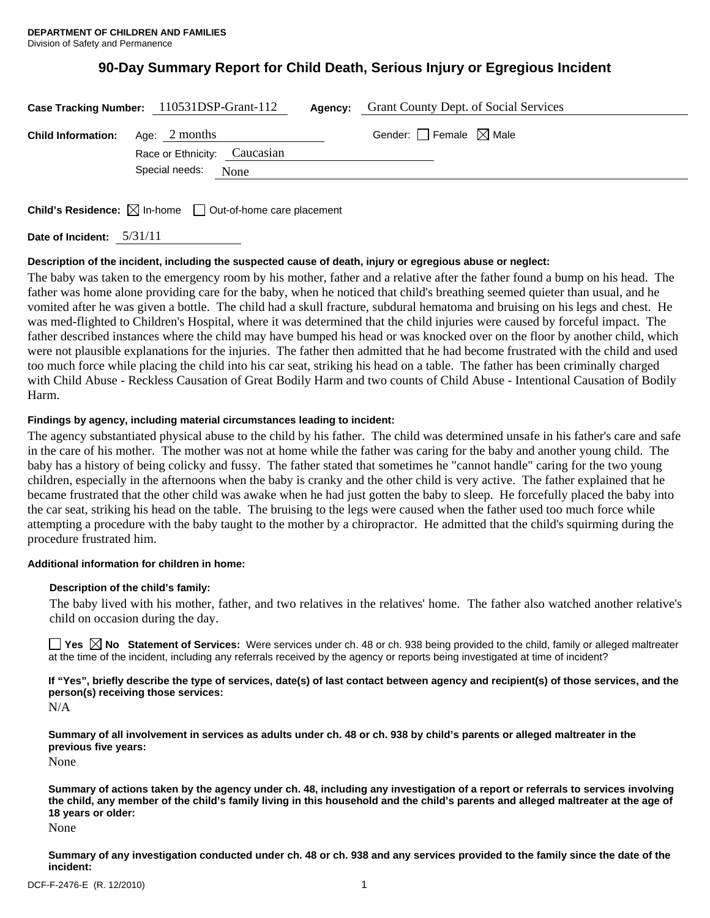# **90-Day Summary Report for Child Death, Serious Injury or Egregious Incident**

|                                         | Case Tracking Number: 110531DSP-Grant-112 | Agency: | <b>Grant County Dept. of Social Services</b> |  |
|-----------------------------------------|-------------------------------------------|---------|----------------------------------------------|--|
| <b>Child Information:</b> Age: 2 months | Race or Ethnicity: Caucasian              |         | Gender: $\Box$ Female $\boxtimes$ Male       |  |
|                                         | Special needs: None                       |         |                                              |  |
|                                         |                                           |         |                                              |  |

**Child's Residence:**  $\boxtimes$  In-home  $\Box$  Out-of-home care placement

**Date of Incident:** 5/31/11

## **Description of the incident, including the suspected cause of death, injury or egregious abuse or neglect:**

The baby was taken to the emergency room by his mother, father and a relative after the father found a bump on his head. The father was home alone providing care for the baby, when he noticed that child's breathing seemed quieter than usual, and he vomited after he was given a bottle. The child had a skull fracture, subdural hematoma and bruising on his legs and chest. He was med-flighted to Children's Hospital, where it was determined that the child injuries were caused by forceful impact. The father described instances where the child may have bumped his head or was knocked over on the floor by another child, which were not plausible explanations for the injuries. The father then admitted that he had become frustrated with the child and used too much force while placing the child into his car seat, striking his head on a table. The father has been criminally charged with Child Abuse - Reckless Causation of Great Bodily Harm and two counts of Child Abuse - Intentional Causation of Bodily Harm.

## **Findings by agency, including material circumstances leading to incident:**

The agency substantiated physical abuse to the child by his father. The child was determined unsafe in his father's care and safe in the care of his mother. The mother was not at home while the father was caring for the baby and another young child. The baby has a history of being colicky and fussy. The father stated that sometimes he "cannot handle" caring for the two young children, especially in the afternoons when the baby is cranky and the other child is very active. The father explained that he became frustrated that the other child was awake when he had just gotten the baby to sleep. He forcefully placed the baby into the car seat, striking his head on the table. The bruising to the legs were caused when the father used too much force while attempting a procedure with the baby taught to the mother by a chiropractor. He admitted that the child's squirming during the procedure frustrated him.

## **Additional information for children in home:**

#### **Description of the child's family:**

The baby lived with his mother, father, and two relatives in the relatives' home. The father also watched another relative's child on occasion during the day.

■ Yes **No** Statement of Services: Were services under ch. 48 or ch. 938 being provided to the child, family or alleged maltreater at the time of the incident, including any referrals received by the agency or reports being investigated at time of incident?

**If "Yes", briefly describe the type of services, date(s) of last contact between agency and recipient(s) of those services, and the person(s) receiving those services:** 

N/A

**Summary of all involvement in services as adults under ch. 48 or ch. 938 by child's parents or alleged maltreater in the previous five years:** 

None

**Summary of actions taken by the agency under ch. 48, including any investigation of a report or referrals to services involving the child, any member of the child's family living in this household and the child's parents and alleged maltreater at the age of 18 years or older:** 

None

**Summary of any investigation conducted under ch. 48 or ch. 938 and any services provided to the family since the date of the incident:**